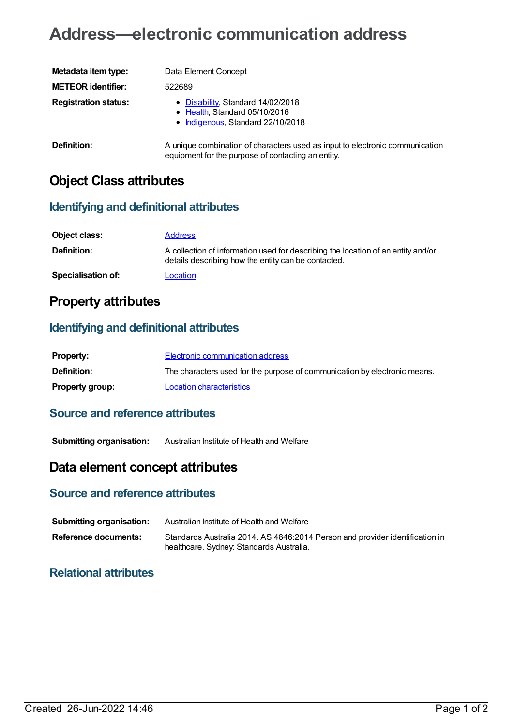# **Address—electronic communication address**

| Metadata item type:         | Data Element Concept                                                                                                               |
|-----------------------------|------------------------------------------------------------------------------------------------------------------------------------|
| <b>METEOR identifier:</b>   | 522689                                                                                                                             |
| <b>Registration status:</b> | • Disability, Standard 14/02/2018<br>• Health, Standard 05/10/2016<br>• Indigenous, Standard 22/10/2018                            |
| Definition:                 | A unique combination of characters used as input to electronic communication<br>equipment for the purpose of contacting an entity. |

## **Object Class attributes**

#### **Identifying and definitional attributes**

| Object class:             | <b>Address</b>                                                                                                                          |
|---------------------------|-----------------------------------------------------------------------------------------------------------------------------------------|
| Definition:               | A collection of information used for describing the location of an entity and/or<br>details describing how the entity can be contacted. |
| <b>Specialisation of:</b> | Location                                                                                                                                |

## **Property attributes**

#### **Identifying and definitional attributes**

| <b>Property:</b>       | Electronic communication address                                          |
|------------------------|---------------------------------------------------------------------------|
| <b>Definition:</b>     | The characters used for the purpose of communication by electronic means. |
| <b>Property group:</b> | Location characteristics                                                  |

#### **Source and reference attributes**

**Submitting organisation:** Australian Institute of Health and Welfare

## **Data element concept attributes**

#### **Source and reference attributes**

| <b>Submitting organisation:</b> | Australian Institute of Health and Welfare                                                                               |
|---------------------------------|--------------------------------------------------------------------------------------------------------------------------|
| Reference documents:            | Standards Australia 2014. AS 4846:2014 Person and provider identification in<br>healthcare. Sydney: Standards Australia. |

### **Relational attributes**